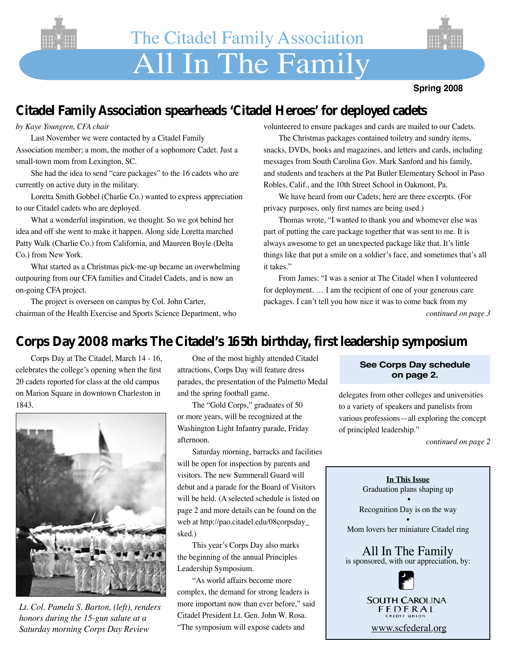



# **Citadel Family Association spearheads 'Citadel Heroes' for deployed cadets**

#### *by Kaye Youngren, CFA chair*

Last November we were contacted by a Citadel Family Association member; a mom, the mother of a sophomore Cadet. Just a small-town mom from Lexington, SC.

She had the idea to send "care packages" to the 16 cadets who are currently on active duty in the military.

Loretta Smith Gobbel (Charlie Co.) wanted to express appreciation to our Citadel cadets who are deployed.

What a wonderful inspiration, we thought. So we got behind her idea and off she went to make it happen. Along side Loretta marched Patty Walk (Charlie Co.) from California, and Maureen Boyle (Delta Co.) from New York.

What started as a Christmas pick-me-up became an overwhelming outpouring from our CFA families and Citadel Cadets, and is now an on-going CFA project.

The project is overseen on campus by Col. John Carter, chairman of the Health Exercise and Sports Science Department, who volunteered to ensure packages and cards are mailed to our Cadets.

The Christmas packages contained toiletry and sundry items, snacks, DVDs, books and magazines, and letters and cards, including messages from South Carolina Gov. Mark Sanford and his family, and students and teachers at the Pat Butler Elementary School in Paso Robles, Calif., and the 10th Street School in Oakmont, Pa.

We have heard from our Cadets; here are three excerpts. (For privacy purposes, only first names are being used.)

Thomas wrote, "I wanted to thank you and whomever else was part of putting the care package together that was sent to me. It is always awesome to get an unexpected package like that. It's little things like that put a smile on a soldier's face, and sometimes that's all it takes."

From James: "I was a senior at The Citadel when I volunteered for deployment. … I am the recipient of one of your generous care packages. I can't tell you how nice it was to come back from my *continued on page 3*

## **Corps Day 2008 marks The Citadel's 165th birthday, first leadership symposium**

Corps Day at The Citadel, March 14 - 16, celebrates the college's opening when the first 20 cadets reported for class at the old campus on Marion Square in downtown Charleston in 1843.



*Lt. Col. Pamela S. Barton, (left), renders honors during the 15-gun salute at a Saturday morning Corps Day Review*

One of the most highly attended Citadel attractions, Corps Day will feature dress parades, the presentation of the Palmetto Medal and the spring football game.

The "Gold Corps," graduates of 50 or more years, will be recognized at the Washington Light Infantry parade, Friday afternoon.

Saturday morning, barracks and facilities will be open for inspection by parents and visitors. The new Summerall Guard will debut and a parade for the Board of Visitors will be held. (A selected schedule is listed on page 2 and more details can be found on the web at http://pao.citadel.edu/08corpsday\_ sked.)

This year's Corps Day also marks the beginning of the annual Principles Leadership Symposium.

"As world affairs become more complex, the demand for strong leaders is more important now than ever before," said Citadel President Lt. Gen. John W. Rosa. "The symposium will expose cadets and

#### **See Corps Day schedule on page 2.**

delegates from other colleges and universities to a variety of speakers and panelists from various professions—all exploring the concept of principled leadership."

*continued on page 2*

**In This Issue** Graduation plans shaping up • Recognition Day is on the way • Mom lovers her miniature Citadel ring All In The Family is sponsored, with our appreciation, by:

> **SOUTH CAROLINA** FEDERAL

www.scfederal.org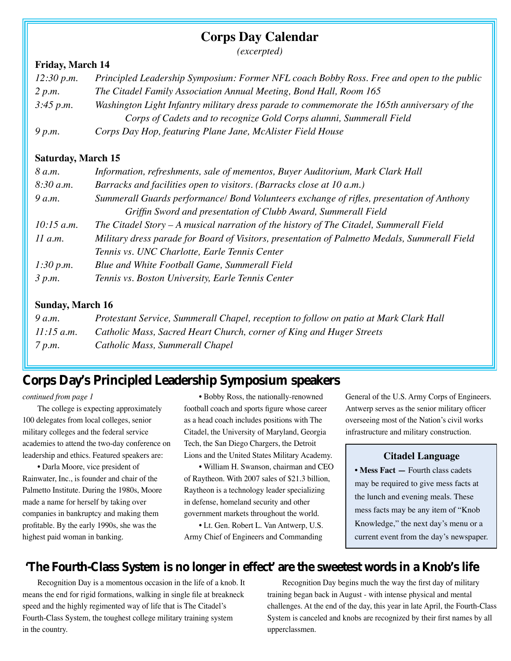### **Corps Day Calendar**

*(excerpted)*

#### **Friday, March 14**

| 12:30 p.m. | Principled Leadership Symposium: Former NFL coach Bobby Ross. Free and open to the public   |
|------------|---------------------------------------------------------------------------------------------|
| 2 p.m.     | The Citadel Family Association Annual Meeting, Bond Hall, Room 165                          |
| 3:45 p.m.  | Washington Light Infantry military dress parade to commemorate the 165th anniversary of the |
|            | Corps of Cadets and to recognize Gold Corps alumni, Summerall Field                         |
| 9 p.m.     | Corps Day Hop, featuring Plane Jane, McAlister Field House                                  |

#### **Saturday, March 15**

| 8 a.m.       | Information, refreshments, sale of mementos, Buyer Auditorium, Mark Clark Hall                |
|--------------|-----------------------------------------------------------------------------------------------|
| 8:30 a.m.    | Barracks and facilities open to visitors. (Barracks close at 10 a.m.)                         |
| 9 a.m.       | Summerall Guards performance/ Bond Volunteers exchange of rifles, presentation of Anthony     |
|              | Griffin Sword and presentation of Clubb Award, Summerall Field                                |
| $10:15$ a.m. | The Citadel Story $-A$ musical narration of the history of The Citadel, Summerall Field       |
| $11$ a.m.    | Military dress parade for Board of Visitors, presentation of Palmetto Medals, Summerall Field |
|              | Tennis vs. UNC Charlotte, Earle Tennis Center                                                 |
| 1:30 p.m.    | Blue and White Football Game, Summerall Field                                                 |
| 3 p.m.       | Tennis vs. Boston University, Earle Tennis Center                                             |

#### **Sunday, March 16**

| 9 a.m.       | Protestant Service, Summerall Chapel, reception to follow on patio at Mark Clark Hall |
|--------------|---------------------------------------------------------------------------------------|
| $11:15$ a.m. | Catholic Mass, Sacred Heart Church, corner of King and Huger Streets                  |
| 7 p.m.       | Catholic Mass, Summerall Chapel                                                       |

## **Corps Day's Principled Leadership Symposium speakers**

*continued from page 1*

The college is expecting approximately 100 delegates from local colleges, senior military colleges and the federal service academies to attend the two-day conference on leadership and ethics. Featured speakers are:

• Darla Moore, vice president of Rainwater, Inc., is founder and chair of the Palmetto Institute. During the 1980s, Moore made a name for herself by taking over companies in bankruptcy and making them profitable. By the early 1990s, she was the highest paid woman in banking.

• Bobby Ross, the nationally-renowned football coach and sports figure whose career as a head coach includes positions with The Citadel, the University of Maryland, Georgia Tech, the San Diego Chargers, the Detroit Lions and the United States Military Academy.

• William H. Swanson, chairman and CEO of Raytheon. With 2007 sales of \$21.3 billion, Raytheon is a technology leader specializing in defense, homeland security and other government markets throughout the world.

• Lt. Gen. Robert L. Van Antwerp, U.S. Army Chief of Engineers and Commanding General of the U.S. Army Corps of Engineers. Antwerp serves as the senior military officer overseeing most of the Nation's civil works infrastructure and military construction.

#### **Citadel Language**

**• Mess Fact —** Fourth class cadets may be required to give mess facts at the lunch and evening meals. These mess facts may be any item of "Knob Knowledge," the next day's menu or a current event from the day's newspaper.

## **'The Fourth-Class System is no longer in effect' are the sweetest words in a Knob's life**

Recognition Day is a momentous occasion in the life of a knob. It means the end for rigid formations, walking in single file at breakneck speed and the highly regimented way of life that is The Citadel's Fourth-Class System, the toughest college military training system in the country.

Recognition Day begins much the way the first day of military training began back in August - with intense physical and mental challenges. At the end of the day, this year in late April, the Fourth-Class System is canceled and knobs are recognized by their first names by all upperclassmen.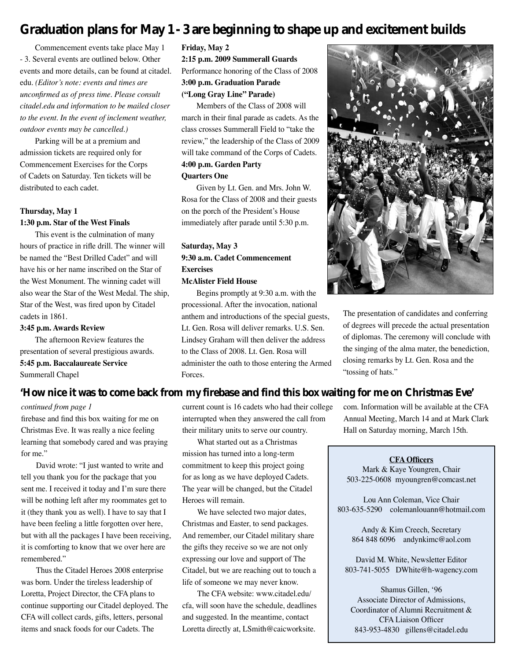## **Graduation plans for May 1 - 3 are beginning to shape up and excitement builds**

Commencement events take place May 1 - 3. Several events are outlined below. Other events and more details, can be found at citadel. edu. *(Editor's note: events and times are unconfirmed as of press time. Please consult citadel.edu and information to be mailed closer to the event. In the event of inclement weather, outdoor events may be cancelled.)*

Parking will be at a premium and admission tickets are required only for Commencement Exercises for the Corps of Cadets on Saturday. Ten tickets will be distributed to each cadet.

#### **Thursday, May 1 1:30 p.m. Star of the West Finals**

This event is the culmination of many hours of practice in rifle drill. The winner will be named the "Best Drilled Cadet" and will have his or her name inscribed on the Star of the West Monument. The winning cadet will also wear the Star of the West Medal. The ship, Star of the West, was fired upon by Citadel cadets in 1861.

#### **3:45 p.m. Awards Review**

The afternoon Review features the presentation of several prestigious awards. **5:45 p.m. Baccalaureate Service** Summerall Chapel

**Friday, May 2 2:15 p.m. 2009 Summerall Guards**  Performance honoring of the Class of 2008 **3:00 p.m. Graduation Parade** 

**("Long Gray Line" Parade)**

Members of the Class of 2008 will march in their final parade as cadets. As the class crosses Summerall Field to "take the review," the leadership of the Class of 2009 will take command of the Corps of Cadets. **4:00 p.m. Garden Party** 

#### **Quarters One**

Given by Lt. Gen. and Mrs. John W. Rosa for the Class of 2008 and their guests on the porch of the President's House immediately after parade until 5:30 p.m.

#### **Saturday, May 3 9:30 a.m. Cadet Commencement Exercises**

#### **McAlister Field House**

Begins promptly at 9:30 a.m. with the processional. After the invocation, national anthem and introductions of the special guests, Lt. Gen. Rosa will deliver remarks. U.S. Sen. Lindsey Graham will then deliver the address to the Class of 2008. Lt. Gen. Rosa will administer the oath to those entering the Armed Forces.



The presentation of candidates and conferring of degrees will precede the actual presentation of diplomas. The ceremony will conclude with the singing of the alma mater, the benediction, closing remarks by Lt. Gen. Rosa and the "tossing of hats."

#### **'How nice it was to come back from my firebase and find this box waiting for me on Christmas Eve'**

#### *continued from page 1*

firebase and find this box waiting for me on Christmas Eve. It was really a nice feeling learning that somebody cared and was praying for me."

David wrote: "I just wanted to write and tell you thank you for the package that you sent me. I received it today and I'm sure there will be nothing left after my roommates get to it (they thank you as well). I have to say that I have been feeling a little forgotten over here, but with all the packages I have been receiving, it is comforting to know that we over here are remembered."

Thus the Citadel Heroes 2008 enterprise was born. Under the tireless leadership of Loretta, Project Director, the CFA plans to continue supporting our Citadel deployed. The CFA will collect cards, gifts, letters, personal items and snack foods for our Cadets. The

current count is 16 cadets who had their college interrupted when they answered the call from their military units to serve our country.

What started out as a Christmas mission has turned into a long-term commitment to keep this project going for as long as we have deployed Cadets. The year will be changed, but the Citadel Heroes will remain.

We have selected two major dates, Christmas and Easter, to send packages. And remember, our Citadel military share the gifts they receive so we are not only expressing our love and support of The Citadel, but we are reaching out to touch a life of someone we may never know.

The CFA website: www.citadel.edu/ cfa, will soon have the schedule, deadlines and suggested. In the meantime, contact Loretta directly at, LSmith@caicworksite.

com. Information will be available at the CFA Annual Meeting, March 14 and at Mark Clark Hall on Saturday morning, March 15th.

#### **CFA Officers**

Mark & Kaye Youngren, Chair 503-225-0608 myoungren@comcast.net

Lou Ann Coleman, Vice Chair 803-635-5290 colemanlouann@hotmail.com

Andy & Kim Creech, Secretary 864 848 6096 andynkimc@aol.com

David M. White, Newsletter Editor 803-741-5055 DWhite@h-wagency.com

Shamus Gillen, '96 Associate Director of Admissions, Coordinator of Alumni Recruitment & CFA Liaison Officer 843-953-4830 gillens@citadel.edu